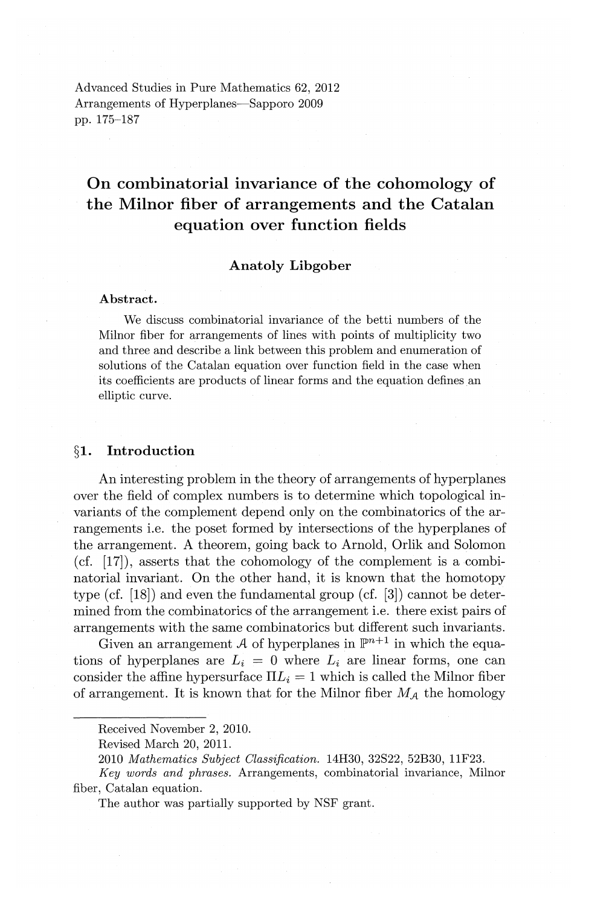Advanced Studies in Pure Mathematics 62, 2012 Arrangements of Hyperplanes—Sapporo 2009 pp. 175-187

# **On combinatorial invariance of the cohomology of the Milnor fiber of arrangements and the Catalan equation over function fields**

# **Anatoly Libgober**

#### **Abstract.**

We discuss combinatorial invariance of the betti numbers of the Milnor fiber for arrangements of lines with points of multiplicity two and three and describe a link between this problem and enumeration of solutions of the Catalan equation over function field in the case when its coefficients are products of linear forms and the equation defines an elliptic curve.

# **§1. Introduction**

An interesting problem in the theory of arrangements of hyperplanes over the field of complex numbers is to determine which topological invariants of the complement depend only on the combinatorics of the arrangements i.e. the poset formed by intersections of the hyperplanes of the arrangement. A theorem, going back to Arnold, Orlik and Solomon (cf.  $[17]$ ), asserts that the cohomology of the complement is a combinatorial invariant. On the other hand, it is known that the homotopy type ( $cf.$  [18]) and even the fundamental group ( $cf.$  [3]) cannot be determined from the combinatorics of the arrangement i.e. there exist pairs of arrangements with the same combinatorics but different such invariants.

Given an arrangement A of hyperplanes in  $\mathbb{P}^{n+1}$  in which the equations of hyperplanes are  $L_i = 0$  where  $L_i$  are linear forms, one can consider the affine hypersurface  $\Pi L_i = 1$  which is called the Milnor fiber of arrangement. It is known that for the Milnor fiber  $M_A$  the homology

Received November 2, 2010.

Revised March 20, 2011.

<sup>2010</sup> *Mathematics Subject Classification.* 14H30, 32S22, 52B30, 11F23.

*Key words and phrases.* Arrangements, combinatorial invariance, Milnor fiber, Catalan equation.

The author was partially supported by NSF grant.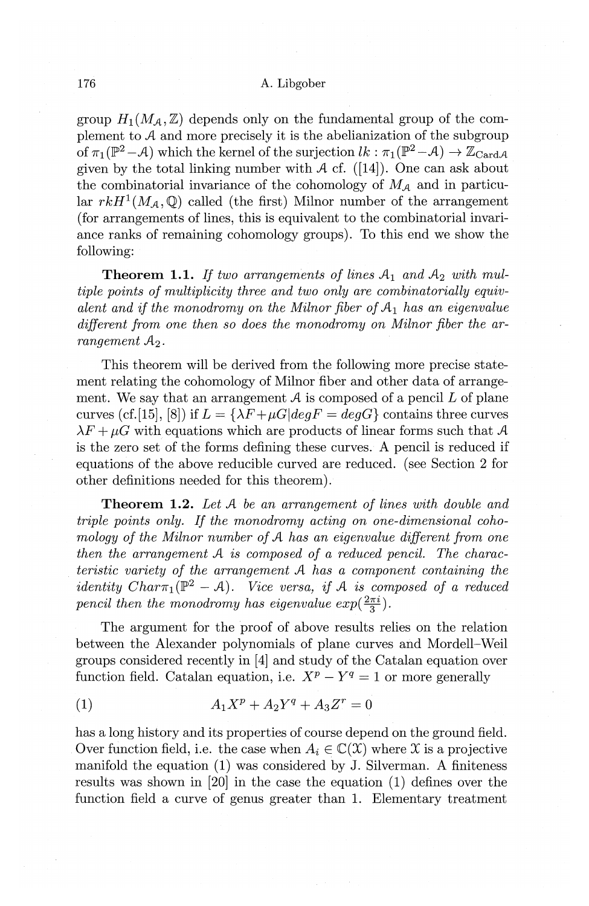group  $H_1(M_A, \mathbb{Z})$  depends only on the fundamental group of the complement to *A* and more precisely it is the abelianization of the subgroup of  $\pi_1(\mathbb{P}^2 - A)$  which the kernel of the surjection  $lk : \pi_1(\mathbb{P}^2 - A) \to \mathbb{Z}_{Card, A}$ given by the total linking number with  $A$  cf. ([14]). One can ask about the combinatorial invariance of the cohomology of  $M_A$  and in particular  $rkH^1(M_A,\mathbb{Q})$  called (the first) Milnor number of the arrangement (for arrangements of lines, this is equivalent to the combinatorial invariance ranks of remaining cohomology groups). To this end we show the following:

**Theorem 1.1.** If two arrangements of lines  $A_1$  and  $A_2$  with mul*tiple points of multiplicity three and two only are combinatorially equivalent and if the monodromy on the Milnor fiber of*  $A_1$  *has an eigenvalue different from one then so does the monodromy on Milnor fiber the arrangement*  $A_2$ .

This theorem will be derived from the following more precise statement relating the cohomology of Milnor fiber and other data of arrangement. We say that an arrangement  $A$  is composed of a pencil  $L$  of plane curves (cf. [15], [8]) if  $L = \{\lambda F + \mu G \mid \text{de} \alpha F = \text{de} \alpha G\}$  contains three curves  $\lambda F + \mu G$  with equations which are products of linear forms such that A is the zero set of the forms defining these curves. A pencil is reduced if equations of the above reducible curved are reduced. (see Section 2 for other definitions needed for this theorem).

**Theorem 1.2.** *Let A be an arrangement of lines with double and triple points only. If the monodromy acting on one-dimensional cohomology of the Milnor number of A has an eigenvalue different from one then the arrangement A is composed of a reduced pencil. The characteristic variety of the arrangement A has a component containing the identity Char* $\pi_1(\mathbb{P}^2 - A)$ . Vice versa, if A is composed of a reduced *pencil then the monodromy has eigenvalue*  $exp(\frac{2\pi i}{3})$ *.* 

The argument for the proof of above results relies on the relation between the Alexander polynomials of plane curves and Mordell-Weil groups considered recently in [4] and study of the Catalan equation over function field. Catalan equation, i.e.  $X^p - Y^q = 1$  or more generally

(1) 
$$
A_1 X^p + A_2 Y^q + A_3 Z^r = 0
$$

has a long history and its properties of course depend on the ground field. Over function field, i.e. the case when  $A_i \in \mathbb{C}(\mathfrak{X})$  where X is a projective manifold the equation (1) was considered by J. Silverman. A finiteness results was shown in [20] in the case the equation (1) defines over the function field a curve of genus greater than 1. Elementary treatment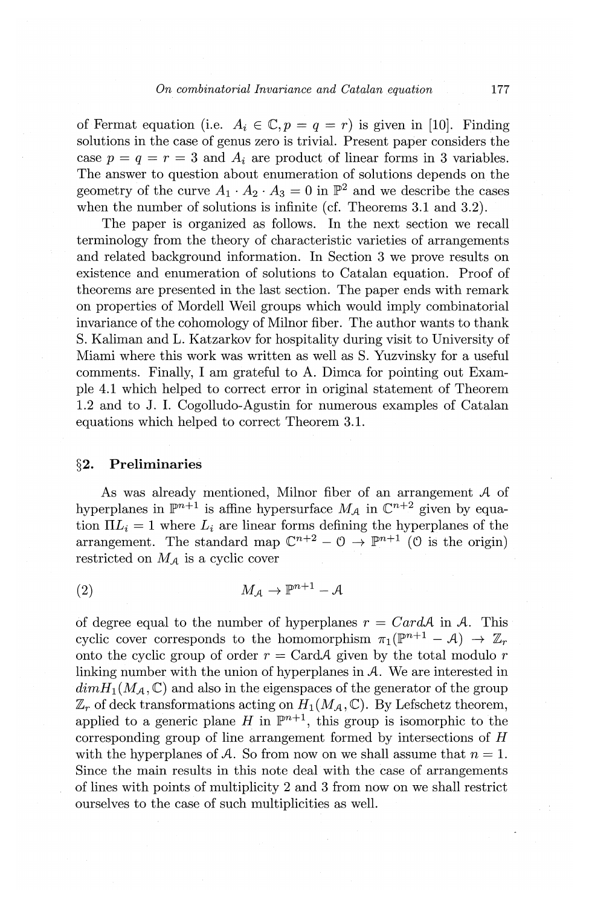of Fermat equation (i.e.  $A_i \in \mathbb{C}, p = q = r$ ) is given in [10]. Finding solutions in the case of genus zero is trivial. Present paper considers the case  $p = q = r = 3$  and  $A_i$  are product of linear forms in 3 variables. The answer to question about enumeration of solutions depends on the geometry of the curve  $A_1 \cdot A_2 \cdot A_3 = 0$  in  $\mathbb{P}^2$  and we describe the cases when the number of solutions is infinite (cf. Theorems 3.1 and 3.2).

The paper is organized as follows. In the next section we recall terminology from the theory of characteristic varieties of arrangements and related background information. In Section 3 we prove results on existence and enumeration of solutions to Catalan equation. Proof of theorems are presented in the last section. The paper ends with remark on properties of Mordell Weil groups which would imply combinatorial invariance of the cohomology of Milnor fiber. The author wants to thank S. Kaliman and L. Katzarkov for hospitality during visit to University of Miami where this work was written as well as S. Yuzvinsky for a useful comments. Finally, I am grateful to A. Dimca for pointing out Example 4.1 which helped to correct error in original statement of Theorem 1.2 and to J. I. Cogolludo-Agustin for numerous examples of Catalan equations which helped to correct Theorem 3.1.

### **§2. Preliminaries**

As was already mentioned, Milnor fiber of an arrangement *A* of hyperplanes in  $\mathbb{P}^{n+1}$  is affine hypersurface  $M_A$  in  $\mathbb{C}^{n+2}$  given by equation  $\Pi L_i = 1$  where  $L_i$  are linear forms defining the hyperplanes of the arrangement. The standard map  $\mathbb{C}^{n+2} - \mathbb{O} \rightarrow \mathbb{P}^{n+1}$  ( $\mathbb{O}$  is the origin) restricted on *MA* is a cyclic cover

 $M_A \rightarrow \mathbb{P}^{n+1} - A$ (2)

of degree equal to the number of hyperplanes  $r = CardA$  in A. This cyclic cover corresponds to the homomorphism  $\pi_1(\mathbb{P}^{n+1} - A) \to \mathbb{Z}_r$ onto the cyclic group of order  $r = \text{Card}\mathcal{A}$  given by the total modulo r linking number with the union of hyperplanes in *A.* We are interested in  $dim H_1(M_A, \mathbb{C})$  and also in the eigenspaces of the generator of the group  $\mathbb{Z}_r$  of deck transformations acting on  $H_1(M_A,\mathbb{C})$ . By Lefschetz theorem, applied to a generic plane *H* in  $\mathbb{P}^{n+1}$ , this group is isomorphic to the corresponding group of line arrangement formed by intersections of *H*  with the hyperplanes of A. So from now on we shall assume that  $n = 1$ . Since the main results in this note deal with the case of arrangements of lines with points of multiplicity 2 and 3 from now on we shall restrict ourselves to the case of such multiplicities as well.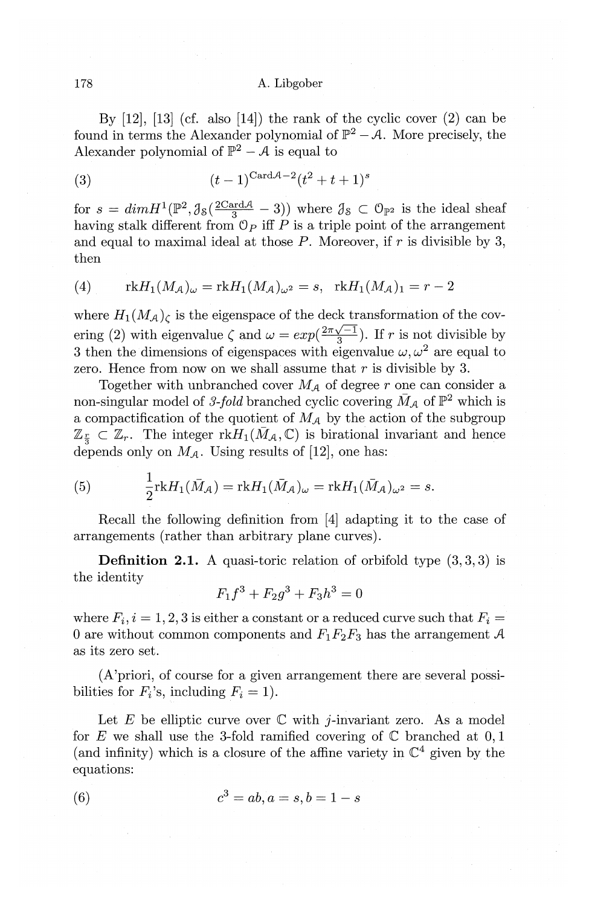By  $[12]$ ,  $[13]$  (cf. also  $[14]$ ) the rank of the cyclic cover  $(2)$  can be found in terms the Alexander polynomial of  $\mathbb{P}^2 - A$ . More precisely, the Alexander polynomial of  $\mathbb{P}^2 - A$  is equal to

(3) 
$$
(t-1)^{\text{Card}\mathcal{A}-2}(t^2+t+1)^s
$$

for  $s = dim H^1(\mathbb{P}^2, \mathcal{J}_{\mathcal{S}}(\frac{2\text{Card}\mathcal{A}}{3} - 3))$  where  $\mathcal{J}_{\mathcal{S}} \subset \mathcal{O}_{\mathbb{P}^2}$  is the ideal sheaf having stalk different from  $\mathbb{O}_P$  iff  $P$  is a triple point of the arrangement and equal to maximal ideal at those *P.* Moreover, if r is divisible by 3, then

(4) 
$$
rkH_1(M_A)_{\omega} = rkH_1(M_A)_{\omega^2} = s, \quad rkH_1(M_A)_1 = r-2
$$

where  $H_1(M_A)$  is the eigenspace of the deck transformation of the covering (2) with eigenvalue  $\zeta$  and  $\omega = exp(\frac{2\pi\sqrt{-1}}{3})$ . If r is not divisible by 3 then the dimensions of eigenspaces with eigenvalue  $\omega, \omega^2$  are equal to zero. Hence from now on we shall assume that *r* is divisible by 3.

Together with unbranched cover  $M_A$  of degree  $r$  one can consider a non-singular model of 3-fold branched cyclic covering  $\bar{M}_{\mathcal{A}}$  of  $\mathbb{P}^2$  which is a compactification of the quotient of  $M_A$  by the action of the subgroup  $\mathbb{Z}_{\frac{r}{3}} \subset \mathbb{Z}_r$ . The integer  $rkH_1(\bar{M}_A,\mathbb{C})$  is birational invariant and hence depends only on  $M_A$ . Using results of [12], one has:

(5) 
$$
\frac{1}{2} \text{rk} H_1(\bar{M}_{\mathcal{A}}) = \text{rk} H_1(\bar{M}_{\mathcal{A}})_{\omega} = \text{rk} H_1(\bar{M}_{\mathcal{A}})_{\omega^2} = s.
$$

Recall the following definition from [4] adapting it to the case of arrangements (rather than arbitrary plane curves).

**Definition 2.1.** A quasi-toric relation of orbifold type  $(3,3,3)$  is the identity

$$
F_1 f^3 + F_2 g^3 + F_3 h^3 = 0
$$

where  $F_i$ ,  $i = 1, 2, 3$  is either a constant or a reduced curve such that  $F_i =$ 0 are without common components and  $F_1F_2F_3$  has the arrangement A as its zero set.

(A'priori, of course for a given arrangement there are several possibilities for  $F_i$ 's, including  $F_i = 1$ ).

Let E be elliptic curve over  $\mathbb C$  with *j*-invariant zero. As a model for E we shall use the 3-fold ramified covering of  $\mathbb C$  branched at 0,1 (and infinity) which is a closure of the affine variety in  $\mathbb{C}^4$  given by the equations:

(6) 
$$
c^3 = ab, a = s, b = 1 - s
$$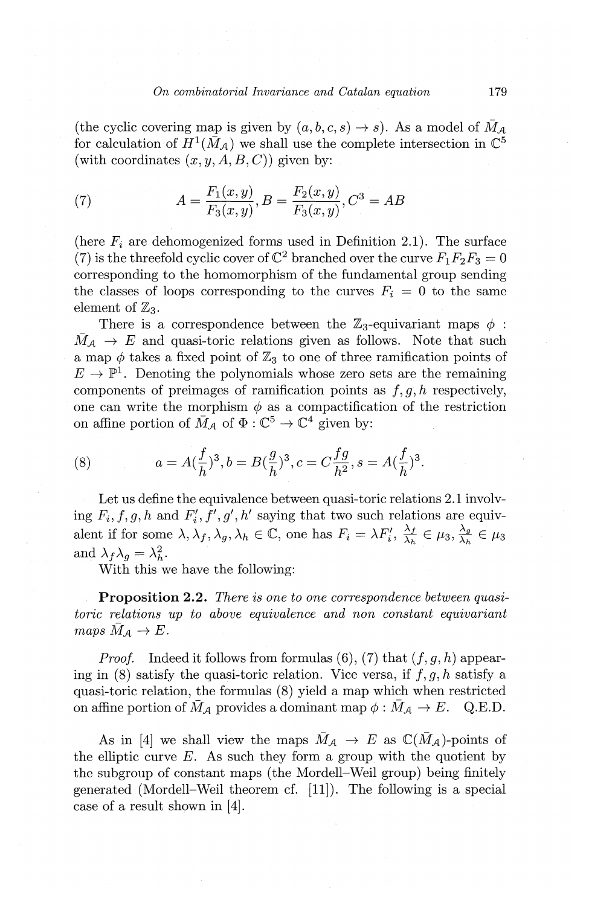(the cyclic covering map is given by  $(a, b, c, s) \rightarrow s$ ). As a model of  $\overline{M}_{\mathcal{A}}$ for calculation of  $H^1(\bar{M}_A)$  we shall use the complete intersection in  $\mathbb{C}^5$ (with coordinates  $(x, y, A, B, C)$ ) given by:

(7) 
$$
A = \frac{F_1(x, y)}{F_3(x, y)}, B = \frac{F_2(x, y)}{F_3(x, y)}, C^3 = AB
$$

(here  $F_i$  are dehomogenized forms used in Definition 2.1). The surface (7) is the threefold cyclic cover of  $\mathbb{C}^2$  branched over the curve  $F_1F_2F_3 = 0$ corresponding to the homomorphism of the fundamental group sending the classes of loops corresponding to the curves  $F_i = 0$  to the same element of  $\mathbb{Z}_3$ .

There is a correspondence between the  $\mathbb{Z}_3$ -equivariant maps  $\phi$ :  $\bar{M}_{A} \rightarrow E$  and quasi-toric relations given as follows. Note that such a map  $\phi$  takes a fixed point of  $\mathbb{Z}_3$  to one of three ramification points of  $E \to \mathbb{P}^1$ . Denoting the polynomials whose zero sets are the remaining components of preimages of ramification points as  $f, g, h$  respectively, one can write the morphism  $\phi$  as a compactification of the restriction on affine portion of  $\overline{M}_A$  of  $\Phi : \mathbb{C}^5 \to \mathbb{C}^4$  given by:

(8) 
$$
a = A(\frac{f}{h})^3, b = B(\frac{g}{h})^3, c = C\frac{fg}{h^2}, s = A(\frac{f}{h})^3.
$$

Let us define the equivalence between quasi-toric relations 2.1 involving  $F_i, f, g, h$  and  $F'_i, f', g', h'$  saying that two such relations are equivalent if for some  $\lambda, \lambda_f, \lambda_g, \lambda_h \in \mathbb{C}$ , one has  $F_i = \lambda F'_i, \frac{\lambda_f}{\lambda_h} \in \mu_3, \frac{\lambda_g}{\lambda_h} \in \mu_3$ and  $\lambda_f \lambda_g = \lambda_h^2$ .

With this we have the following:

**Proposition 2.2.** *There is one to one correspondence between quasitoric relations up to above equivalence and non constant equivariant*   $maps M_{\mathcal{A}} \rightarrow E$ .

*Proof.* Indeed it follows from formulas  $(6)$ ,  $(7)$  that  $(f, g, h)$  appearing in (8) satisfy the quasi-toric relation. Vice versa, if *j, g, h* satisfy a quasi-toric relation, the formulas (8) yield a map which when restricted on affine portion of  $M_A$  provides a dominant map  $\phi : M_A \to E$ . Q.E.D.

As in [4] we shall view the maps  $\bar{M}_{\mathcal{A}} \to E$  as  $\mathbb{C}(\bar{M}_{\mathcal{A}})$ -points of the elliptic curve  $E$ . As such they form a group with the quotient by the subgroup of constant maps (the Mordell-Weil group) being finitely generated (Mordell-Weil theorem cf. [11]). The following is a special case of a result shown in [4].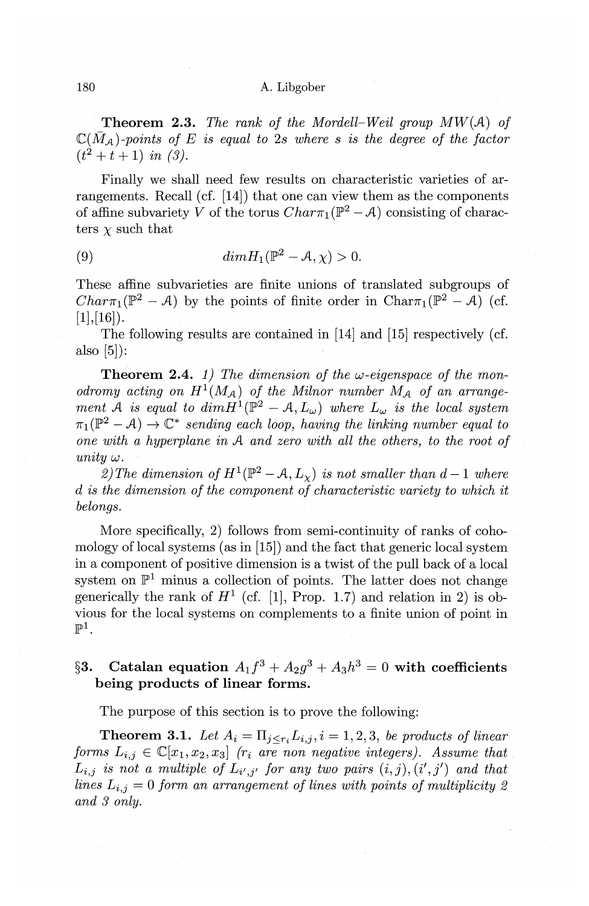**Theorem 2.3.** *The rank of the Mordell-Weil group MW(A) of*   $\mathbb{C}(\bar{M}_{\mathcal{A}})$ -points of E is equal to 2s where s is the degree of the factor  $(t^2 + t + 1)$  *in*  $(3)$ .

Finally we shall need few results on characteristic varieties of arrangements. Recall  $(cf. [14])$  that one can view them as the components of affine subvariety *V* of the torus  $Char_{1}(\mathbb{P}^{2}-A)$  consisting of characters  $\chi$  such that

(9)  $dim H_1(\mathbb{P}^2 - A, \chi) > 0.$ 

These affine subvarieties are finite unions of translated subgroups of *Char* $\pi_1(\mathbb{P}^2 - A)$  by the points of finite order in Char $\pi_1(\mathbb{P}^2 - A)$  (cf.  $[1],[16]$ ).

The following results are contained in [14] and [15] respectively ( cf. also [5]):

**Theorem 2.4.** *1)* The dimension of the  $\omega$ -eigenspace of the mon*odromy acting on*  $H^1(M_A)$  *of the Milnor number*  $M_A$  *of an arrangement*  $\mathcal{A}$  is equal to  $dim H^1(\mathbb{P}^2 - \mathcal{A}, L_\omega)$  where  $L_\omega$  is the local system  $\pi_1(\mathbb{P}^2 - A) \to \mathbb{C}^*$  *sending each loop, having the linking number equal to one with a hyperplane in A and zero with all the others, to the root of*  $unity \omega$ .

*2)The dimension of*  $H^1(\mathbb{P}^2 - A, L_x)$  *is not smaller than d - 1 where d is the dimension of the component of characteristic variety to which it belongs.* 

More specifically, 2) follows from semi-continuity of ranks of cohomology of local systems (as in [15]) and the fact that generic local system in a component of positive dimension is a twist of the pull back of a local system on  $\mathbb{P}^1$  minus a collection of points. The latter does not change generically the rank of  $H^1$  (cf. [1], Prop. 1.7) and relation in 2) is obvious for the local systems on complements to a finite union of point in  $\mathbb{P}^1$ .

# §3. Catalan equation  $A_1 f^3 + A_2 g^3 + A_3 h^3 = 0$  with coefficients **being products of linear forms.**

The purpose of this section is to prove the following:

**Theorem 3.1.** Let  $A_i = \prod_{j \leq r_i} L_{i,j}$ ,  $i = 1, 2, 3$ , *be products of linear forms*  $L_{i,j} \in \mathbb{C}[x_1, x_2, x_3]$  *(r<sub>i</sub>* are non negative integers). Assume that  $L_{i,j}$  is not a multiple of  $L_{i',j'}$  for any two pairs  $(i,j), (i',j')$  and that *lines*  $L_{i,j} = 0$  *form an arrangement of lines with points of multiplicity 2 and 3 only.*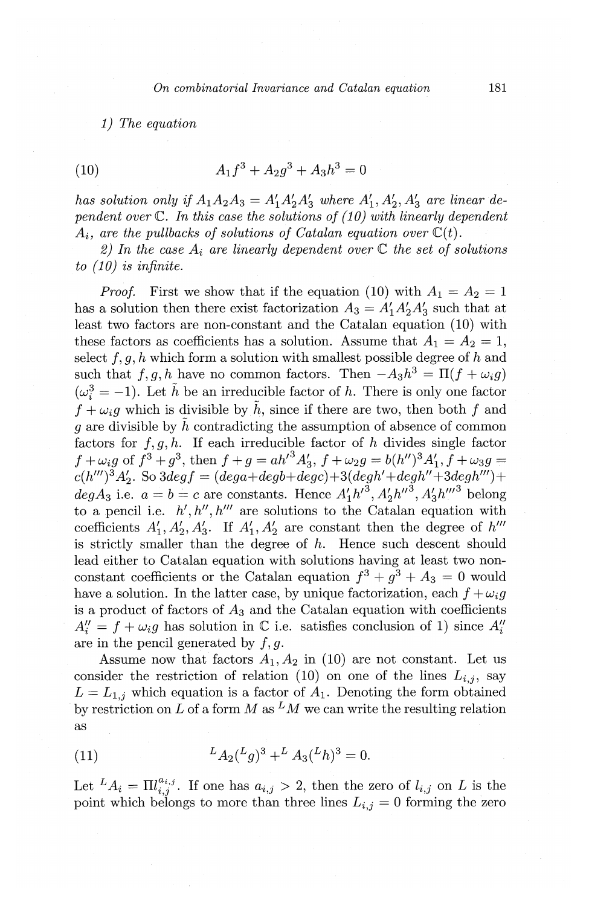*1) The equation* 

(10) 
$$
A_1 f^3 + A_2 g^3 + A_3 h^3 = 0
$$

*has solution only if*  $A_1A_2A_3 = A'_1A'_2A'_3$  where  $A'_1, A'_2, A'_3$  are linear de*pendent over* C. *In this case the solutions of ( 10) with linearly dependent*   $A_i$ , are the pullbacks of solutions of Catalan equation over  $C(t)$ .

2) In the case  $A_i$  are linearly dependent over  $\mathbb C$  the set of solutions *to ( 10) is infinite.* 

*Proof.* First we show that if the equation (10) with  $A_1 = A_2 = 1$ has a solution then there exist factorization  $A_3 = A_1'A_2'A_3'$  such that at least two factors are non-constant and the Catalan equation (10) with these factors as coefficients has a solution. Assume that  $A_1 = A_2 = 1$ , select  $f, g, h$  which form a solution with smallest possible degree of h and such that  $f, g, h$  have no common factors. Then  $-A_3h^3 = \Pi(f + \omega_i g)$  $(\omega_i^3 = -1)$ . Let  $\tilde{h}$  be an irreducible factor of *h*. There is only one factor  $f + \omega_i q$  which is divisible by  $\tilde{h}$ , since if there are two, then both f and q are divisible by  $\tilde{h}$  contradicting the assumption of absence of common factors for  $f, g, h$ . If each irreducible factor of *h* divides single factor  $f + \omega_i g$  of  $f^3 + g^3$ , then  $f + g = ah'^3 A'_3$ ,  $f + \omega_2 g = b(h'')^3 A'_1$ ,  $f + \omega_3 g =$  $c(h''')^3A'_2$ . So  $3deg f = (deg a + deg b + deg c) + 3(deg h' + deg h'' + 3deg h''') +$ *degA<sub>3</sub>* i.e.  $a = b = c$  are constants. Hence  $A'_1 h'^3$ ,  $A'_2 h''^3$ ,  $A'_3 h'''^3$  belong to a pencil i.e.  $h', h'', h'''$  are solutions to the Catalan equation with coefficients  $A'_1$ ,  $A'_2$ ,  $A'_3$ . If  $A'_1$ ,  $A'_2$  are constant then the degree of  $h'''$ is strictly smaller than the degree of *h.* Hence such descent should lead either to Catalan equation with solutions having at least two nonconstant coefficients or the Catalan equation  $f^3 + g^3 + A_3 = 0$  would have a solution. In the latter case, by unique factorization, each  $f + \omega_i g$ is a product of factors of  $A_3$  and the Catalan equation with coefficients  $A''_i = f + \omega_i g$  has solution in C i.e. satisfies conclusion of 1) since  $A''_i$ are in the pencil generated by  $f, g$ .

Assume now that factors  $A_1, A_2$  in (10) are not constant. Let us consider the restriction of relation  $(10)$  on one of the lines  $L_{i,j}$ , say  $L = L_{1,j}$  which equation is a factor of  $A_1$ . Denoting the form obtained by restriction on L of a form M as  $^LM$  we can write the resulting relation as

(11) 
$$
{}^L A_2 ({}^L g)^3 + {}^L A_3 ({}^L h)^3 = 0.
$$

Let  $^L A_i = \prod_{i,j}^{a_{i,j}}$ . If one has  $a_{i,j} > 2$ , then the zero of  $l_{i,j}$  on *L* is the point which belongs to more than three lines  $L_{i,j} = 0$  forming the zero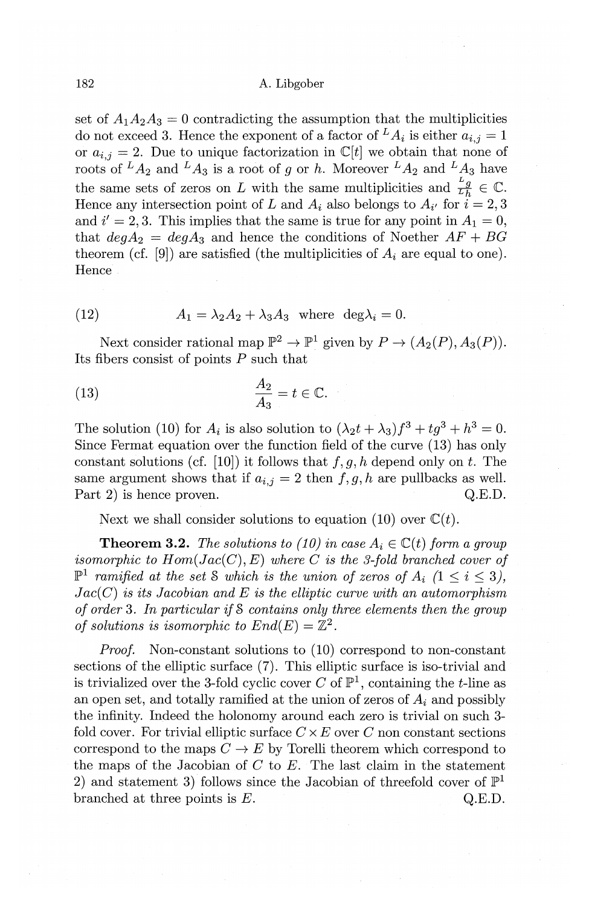set of  $A_1A_2A_3 = 0$  contradicting the assumption that the multiplicities do not exceed 3. Hence the exponent of a factor of  ${}^L A_i$  is either  $a_i$ ,  $i = 1$ or  $a_{i,j} = 2$ . Due to unique factorization in  $\mathbb{C}[t]$  we obtain that none of roots of  ${}^L A_2$  and  ${}^L A_3$  is a root of g or h. Moreover  ${}^L A_2$  and  ${}^L A_3$  have the same sets of zeros on L with the same multiplicities and  $\frac{L_g}{L_b} \in \mathbb{C}$ . Hence any intersection point of *L* and  $A_i$  also belongs to  $A_{i'}$  for  $i = 2, 3$ and  $i' = 2, 3$ . This implies that the same is true for any point in  $A_1 = 0$ , that  $deg A_2 = deg A_3$  and hence the conditions of Noether  $AF + BG$ theorem (cf. [9]) are satisfied (the multiplicities of  $A_i$  are equal to one). Hence

(12) 
$$
A_1 = \lambda_2 A_2 + \lambda_3 A_3 \text{ where } \deg \lambda_i = 0.
$$

Next consider rational map  $\mathbb{P}^2 \to \mathbb{P}^1$  given by  $P \to (A_2(P), A_3(P))$ . Its fibers consist of points *P* such that

(13) 
$$
\frac{A_2}{A_3} = t \in \mathbb{C}.
$$

The solution (10) for  $A_i$  is also solution to  $(\lambda_2 t + \lambda_3)f^3 + tg^3 + h^3 = 0$ . Since Fermat equation over the function field of the curve (13) has only constant solutions (cf. [10]) it follows that  $f, g, h$  depend only on  $t$ . The same argument shows that if  $a_{i,j} = 2$  then  $f, g, h$  are pullbacks as well. Part 2) is hence proven. Q.E.D.

Next we shall consider solutions to equation (10) over  $\mathbb{C}(t)$ .

**Theorem 3.2.** *The solutions to (10) in case*  $A_i \in \mathbb{C}(t)$  *form a group isomorphic to*  $Hom(Jac(C), E)$  *where C is the 3-fold branched cover of*  $\mathbb{P}^1$  *ramified at the set S which is the union of zeros of A<sub>i</sub> (1*  $\leq i \leq 3$ *),*  $Jac(C)$  *is its Jacobian and E is the elliptic curve with an automorphism of order* 3. *In particular if* S *contains only three elements then the group of solutions is isomorphic to*  $End(E) = \mathbb{Z}^2$ .

*Proof.* Non-constant solutions to (10) correspond to non-constant sections of the elliptic surface (7). This elliptic surface is iso-trivial and is trivialized over the 3-fold cyclic cover *C* of  $\mathbb{P}^1$ , containing the *t*-line as an open set, and totally ramified at the union of zeros of *Ai* and possibly the infinity. Indeed the holonomy around each zero is trivial on such 3 fold cover. For trivial elliptic surface  $C \times E$  over  $C$  non constant sections correspond to the maps  $C \to E$  by Torelli theorem which correspond to the maps of the Jacobian of *C* to *E.* The last claim in the statement 2) and statement 3) follows since the Jacobian of threefold cover of  $\mathbb{P}^1$ branched at three points is  $E$ .  $Q.E.D.$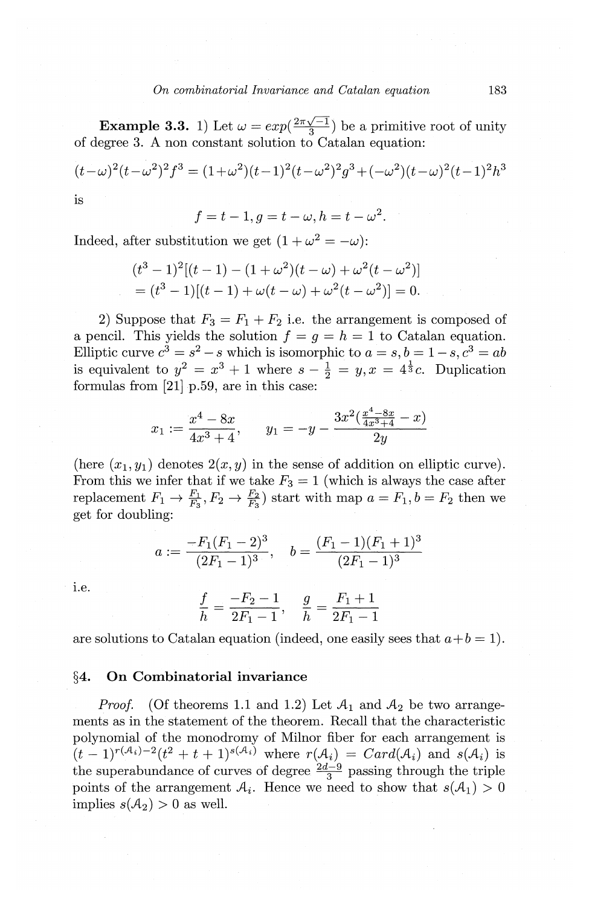**Example 3.3.** 1) Let  $\omega = exp(\frac{2\pi\sqrt{-1}}{3})$  be a primitive root of unity of degree 3. A non constant solution to Catalan equation:

$$
(t-\omega)^2(t-\omega^2)^2f^3 = (1+\omega^2)(t-1)^2(t-\omega^2)^2g^3 + (-\omega^2)(t-\omega)^2(t-1)^2h^3
$$
 is

$$
f = t - 1, g = t - \omega, h = t - \omega^2.
$$

Indeed, after substitution we get  $(1 + \omega^2 = -\omega)$ :

$$
(t3 - 1)2[(t - 1) - (1 + \omega2)(t - \omega) + \omega2(t - \omega2)]
$$
  
= (t<sup>3</sup> - 1)[(t - 1) + \omega(t - \omega) + \omega<sup>2</sup>(t - \omega<sup>2</sup>)] = 0.

2) Suppose that  $F_3 = F_1 + F_2$  i.e. the arrangement is composed of a pencil. This yields the solution  $f = q = h = 1$  to Catalan equation. Elliptic curve  $c^3 = s^2 - s$  which is isomorphic to  $a = s, b = 1 - s, c^3 = ab$ is equivalent to  $y^2 = x^3 + 1$  where  $s - \frac{1}{2} = y, x = 4^{\frac{1}{3}}c$ . Duplication formulas from [21] p.59, are in this case:

$$
x_1 := \frac{x^4 - 8x}{4x^3 + 4}, \qquad y_1 = -y - \frac{3x^2(\frac{x^4 - 8x}{4x^3 + 4} - x)}{2y}
$$

(here  $(x_1, y_1)$  denotes  $2(x, y)$  in the sense of addition on elliptic curve). From this we infer that if we take  $F_3 = 1$  (which is always the case after replacement  $F_1 \rightarrow \frac{F_1}{F_3}, F_2 \rightarrow \frac{F_2}{F_3}$  start with map  $a = F_1, b = F_2$  then we get for doubling:

$$
a := \frac{-F_1(F_1 - 2)^3}{(2F_1 - 1)^3}, \quad b = \frac{(F_1 - 1)(F_1 + 1)^3}{(2F_1 - 1)^3}
$$

i.e.

$$
\frac{f}{h} = \frac{-F_2 - 1}{2F_1 - 1}, \quad \frac{g}{h} = \frac{F_1 + 1}{2F_1 - 1}
$$

are solutions to Catalan equation (indeed, one easily sees that  $a+b=1$ ).

## **§4. On Combinatorial invariance**

*Proof.* (Of theorems 1.1 and 1.2) Let  $A_1$  and  $A_2$  be two arrangements as in the statement of the theorem. Recall that the characteristic polynomial of the monodromy of Milnor fiber for each arrangement is  $(t-1)^{r(A_i)-2}(t^2+t+1)^{s(A_i)}$  where  $r(A_i) = Card(A_i)$  and  $s(A_i)$  is the superabundance of curves of degree  $\frac{2d-9}{3}$  passing through the triple points of the arrangement  $A_i$ . Hence we need to show that  $s(A_1) > 0$ implies  $s(A_2) > 0$  as well.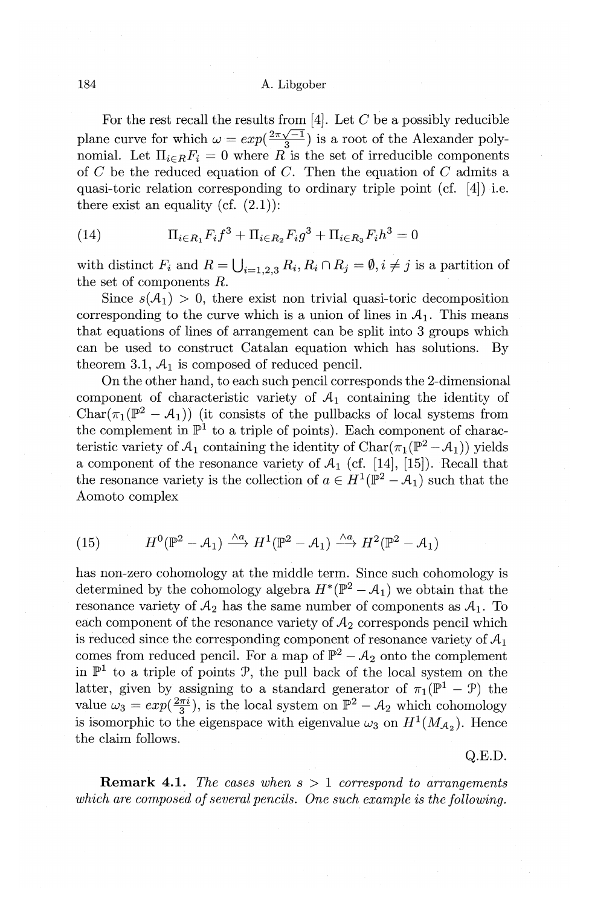For the rest recall the results from [4]. Let *C* be a possibly reducible For the rest recall the results from [4]. Let C be a possibly reducible<br>plane curve for which  $\omega = exp(\frac{2\pi\sqrt{-1}}{3})$  is a root of the Alexander polynomial. Let  $\prod_{i \in R} F_i = 0$  where R is the set of irreducible components of *C* be the reduced equation of *C.* Then the equation of *C* admits a quasi-toric relation corresponding to ordinary triple point (cf. [4]) i.e. there exist an equality (cf.  $(2.1)$ ):

(14) 
$$
\Pi_{i \in R_1} F_i f^3 + \Pi_{i \in R_2} F_i g^3 + \Pi_{i \in R_3} F_i h^3 = 0
$$

with distinct  $F_i$  and  $R = \bigcup_{i=1,2,3} R_i, R_i \cap R_j = \emptyset, i \neq j$  is a partition of the set of components *R.* 

Since  $s(A_1) > 0$ , there exist non trivial quasi-toric decomposition corresponding to the curve which is a union of lines in  $A_1$ . This means that equations of lines of arrangement can be split into 3 groups which can be used to construct Catalan equation which has solutions. By theorem 3.1,  $A_1$  is composed of reduced pencil.

On the other hand, to each such pencil corresponds the 2-dimensional component of characteristic variety of  $A_1$  containing the identity of  $Char(\pi_1(\mathbb{P}^2 - A_1))$  (it consists of the pullbacks of local systems from the complement in  $\mathbb{P}^1$  to a triple of points). Each component of characteristic variety of  $A_1$  containing the identity of  $Char(\pi_1(\mathbb{P}^2 - A_1))$  yields a component of the resonance variety of  $A_1$  (cf. [14], [15]). Recall that the resonance variety is the collection of  $a \in H^1(\mathbb{P}^2 - A_1)$  such that the Aomoto complex

(15) 
$$
H^{0}(\mathbb{P}^{2}-A_{1}) \xrightarrow{\wedge a} H^{1}(\mathbb{P}^{2}-A_{1}) \xrightarrow{\wedge a} H^{2}(\mathbb{P}^{2}-A_{1})
$$

has non-zero cohomology at the middle term. Since such cohomology is determined by the cohomology algebra  $H^*(\mathbb{P}^2 - A_1)$  we obtain that the resonance variety of  $A_2$  has the same number of components as  $A_1$ . To each component of the resonance variety of  $A_2$  corresponds pencil which is reduced since the corresponding component of resonance variety of  $A_1$ comes from reduced pencil. For a map of  $\mathbb{P}^2 - A_2$  onto the complement in  $\mathbb{P}^1$  to a triple of points  $\mathcal{P}$ , the pull back of the local system on the latter, given by assigning to a standard generator of  $\pi_1(\mathbb{P}^1 - \mathcal{P})$  the value  $\omega_3 = exp(\frac{2\pi i}{3})$ , is the local system on  $\mathbb{P}^2 - A_2$  which cohomology is isomorphic to the eigenspace with eigenvalue  $\omega_3$  on  $H^1(M_{\mathcal{A}_2})$ . Hence the claim follows.

# Q.E.D.

**Remark 4.1.** *The cases when s* > 1 *correspond to arrangements which are composed of several pencils. One such example is the following.*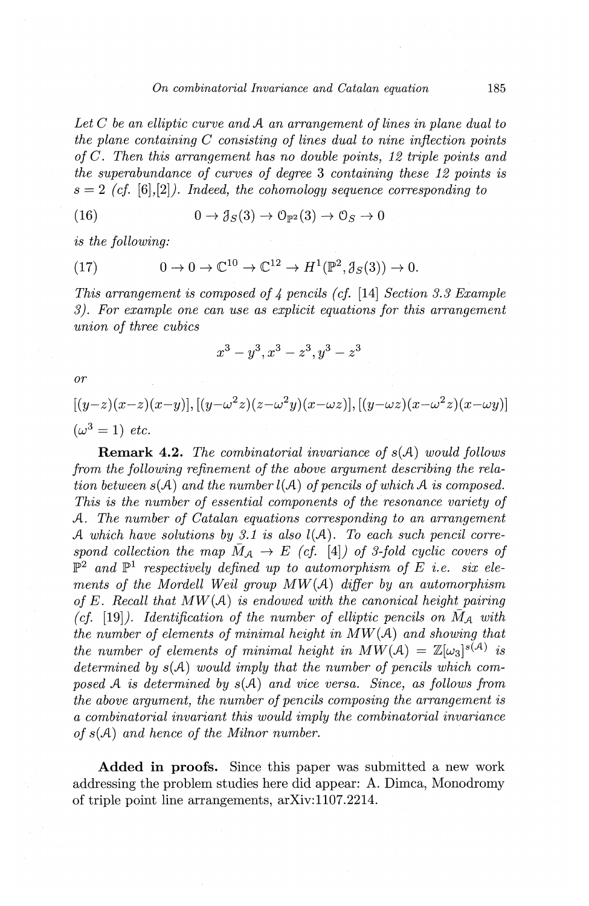### *On combinatorial Invariance and Catalan equation* 185

*Let C be an elliptic curve and A an arrangement of lines in plane dual to the plane containing C consisting of lines dual to nine inflection points of C. Then this arrangement has no double points, 12 triple points and the superabundance of curves of degree* 3 *containing these 12 points is*   $s = 2$  *(cf.* [6], [2]). *Indeed, the cohomology sequence corresponding to* 

(16) 
$$
0 \to \mathcal{J}_S(3) \to \mathcal{O}_{\mathbb{P}^2}(3) \to \mathcal{O}_S \to 0
$$

*is the following:* 

(17) 
$$
0 \to 0 \to \mathbb{C}^{10} \to \mathbb{C}^{12} \to H^1(\mathbb{P}^2, \mathcal{J}_S(3)) \to 0.
$$

*This arrangement is composed of* 4 *pencils (cf.* [14] *Section 3.3 Example 3). For example one can use as explicit equations for this arrangement union of three cubics* 

$$
x^3 - y^3, x^3 - z^3, y^3 - z^3
$$

*or* 

$$
[(y-z)(x-z)(x-y)], [(y-\omega^2z)(z-\omega^2y)(x-\omega z)], [(y-\omega z)(x-\omega^2z)(x-\omega y)]
$$
  

$$
(\omega^3 = 1) \text{ etc.}
$$

**Remark 4.2.** *The combinatorial invariance of s(A) would follows from the following refinement of the above argument describing the relation between s(A) and the number l(A) of pencils of which A is composed. This is the number of essential components of the resonance variety of A. The number of Catalan equations corresponding to an arrangement A which have solutions by 3.1 is also l(A). To each such pencil correspond collection the map*  $\overline{M}_A \rightarrow E$  (*cf.* [4]) *of 3-fold cyclic covers of*  $\mathbb{P}^2$  and  $\mathbb{P}^1$  *respectively defined up to automorphism of E i.e. six elements of the Mordell Weil group MW(A) differ by an automorphism of E. Recall that MW(A) is endowed with the canonical height pairing*  (*cf.* [19]). *Identification of the number of elliptic pencils on*  $\overline{M}_A$  with *the number of elements of minimal height in MW(A) and showing that the number of elements of minimal height in*  $MW(A) = \mathbb{Z}[\omega_3]^{s(A)}$  *is determined by s(A) would imply that the number of pencils which composed A is determined by s(A) and vice versa. Since, as follows from the above argument, the number of pencils composing the arrangement is a combinatorial invariant this would imply the combinatorial invariance of s(A) and hence of the Milnor number.* 

**Added in proofs.** Since this paper was submitted a new work addressing the problem studies here did appear: A. Dimca, Monodromy of triple point line arrangements, arXiv:l107.2214.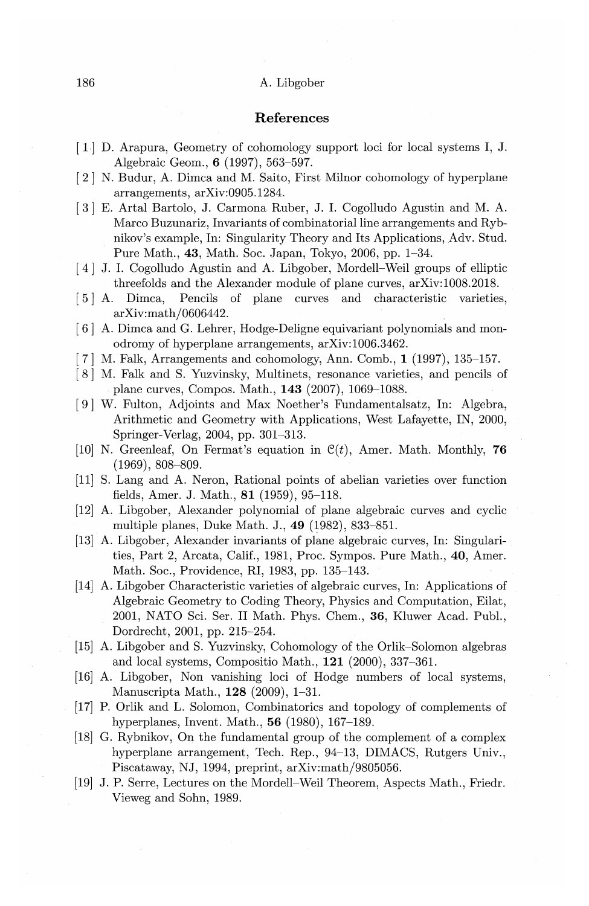# **References**

- [ 1-] D. Arapura, Geometry of cohomology support loci for local systems I, J. Algebraic Geom., **6** (1997), 563-597.
- [ 2] N. Budur, A. Dimca and M. Saito, First Milnor cohomology of hyperplane arrangements, arXiv:0905.1284.
- [ 3] E. Artal Bartolo, J. Carmona Ruber, J. I. Cogolludo Agustin and M. A. Marco Buzunariz, Invariants of combinatorial line arrangements and Rybnikov's example, In: Singularity Theory and Its Applications, Adv. Stud. Pure Math., **43,** Math. Soc. Japan, Tokyo, 2006, pp. 1-34.
- [ 4] J. I. Cogolludo Agustin and A. Libgober, Mordell-Weil groups of elliptic threefolds and the Alexander module of plane curves, arXiv:1008.2018.
- ( 5] A. Dimca, Pencils of plane curves and characteristic varieties, arXiv:math/0606442.
- ( 6] A. Dimca and G. Lehrer, Hodge-Deligne equivariant polynomials and monodromy of hyperplane arrangements, arXiv:1006.3462.
- ( 7] M. Falk, Arrangements and cohomology, Ann. Comb., **1** (1997), 135-157.
- ( 8] M. Falk and S. Yuzvinsky, Multinets, resonance varieties, and pencils of plane curves, Compos. Math., **143** (2007), 1069-1088.
- [ 9] W. Fulton, Adjoints and Max Noether's Fundamentalsatz, In: Algebra, Arithmetic and Geometry with Applications, West Lafayette, IN, 2000, Springer-Verlag, 2004, pp. 301-313.
- $(10)$  N. Greenleaf, On Fermat's equation in  $C(t)$ , Amer. Math. Monthly, **76** (1969), 808-809.
- (11] S. Lang and A. Neron, Rational points of abelian varieties over function fields, Amer. J. Math., **81** (1959), 95-118.
- [12] A. Libgober, Alexander polynomial of plane algebraic curves and cyclic multiple planes, Duke Math. J., 49 (1982), 833-851.
- (13] A. Libgober, Alexander invariants of plane algebraic curves, In: Singularities, Part 2, Arcata, Calif., 1981, Proc. Sympos. Pure Math., **40,** Amer. Math. Soc., Providence, RI, 1983, pp. 135-143.
- (14] A. Libgober Characteristic varieties of algebraic curves, In: Applications of Algebraic Geometry to Coding Theory, Physics and Computation, Eilat, 2001, NATO Sci. Ser. II Math. Phys. Chern., **36,** Kluwer Acad. Publ., Dordrecht, 2001, pp. 215-254.
- (15] A. Libgober and S. Yuzvinsky, Cohomology of the Orlik-Solomon algebras and local systems, Compositio Math., **121** (2000), 337-361.
- [16] A. Libgober, Non vanishing loci of Hodge numbers of local systems, Manuscripta Math., **128** (2009), 1-31.
- (17] P. Orlik and L. Solomon, Combinatorics and topology of complements of hyperplanes, Invent. Math., **56** (1980), 167-189.
- (18] G. Rybnikov, On the fundamental group of the complement of a complex hyperplane arrangement, Tech. Rep., 94-13, DIMACS, Rutgers Univ., Piscataway, NJ, 1994, preprint, arXiv:math/9805056.
- [19] J.P. Serre, Lectures on the Mordell-Weil Theorem, Aspects Math., Friedr. Vieweg and Sohn, 1989.